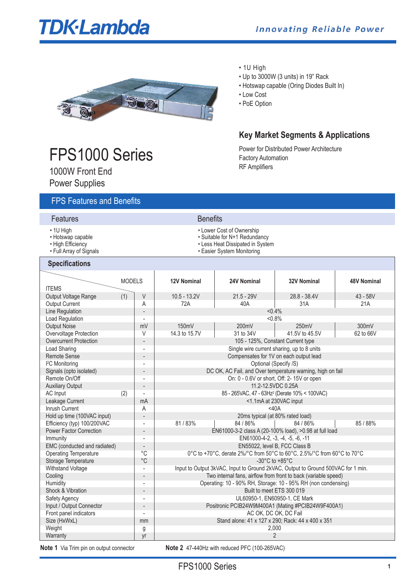# **TDK**-Lambda

**Key Market Segments & Applications**

Power for Distributed Power Architecture

• Up to 3000W (3 units) in 19" Rack • Hotswap capable (Oring Diodes Built In)

Factory Automation RF Amplifiers

• 1U High

• Low Cost • PoE Option



# FPS1000 Series

1000W Front End

Power Supplies

# FPS Features and Benefits

- **Features** Benefits
- 
- 
- 
- Full Array of Signals Easier System Monitoring

### **Specifications**

| $\cdot$ 1U High   | • Lower Cost of Ownership  |
|-------------------|----------------------------|
| • Hotswap capable | • Suitable for N+1 Redunda |

- Hotswap capable Suitable for N+1 Redundancy • Less Heat Dissipated in System
	-
	-

| υμσνιπναιινιισ                 |               |                          |                                                                                  |                                                            |                    |                    |
|--------------------------------|---------------|--------------------------|----------------------------------------------------------------------------------|------------------------------------------------------------|--------------------|--------------------|
| <b>ITEMS</b>                   | <b>MODELS</b> |                          | <b>12V Nominal</b>                                                               | 24V Nominal                                                | <b>32V Nominal</b> | <b>48V Nominal</b> |
| Output Voltage Range           | (1)           | V                        | $10.5 - 13.2V$                                                                   | $21.5 - 29V$                                               | $28.8 - 38.4V$     | $43 - 58V$         |
| <b>Output Current</b>          |               | A                        | 72A                                                                              | 40A                                                        | 31A                | 21A                |
| Line Regulation                |               |                          |                                                                                  | $< 0.4\%$                                                  |                    |                    |
| <b>Load Regulation</b>         |               | $\overline{a}$           |                                                                                  | $< 0.8\%$                                                  |                    |                    |
| <b>Output Noise</b>            |               | mV                       | 150mV<br>200mV<br>250mV                                                          |                                                            |                    | 300mV              |
| Overvoltage Protection         |               | V                        | 14.3 to 15.7V                                                                    | 31 to 34V                                                  | 41.5V to 45.5V     | 62 to 66V          |
| <b>Overcurrent Protection</b>  |               |                          |                                                                                  | 105 - 125%, Constant Current type                          |                    |                    |
| Load Sharing                   |               | ÷                        |                                                                                  | Single wire current sharing, up to 8 units                 |                    |                    |
| <b>Remote Sense</b>            |               |                          | Compensates for 1V on each output lead                                           |                                                            |                    |                    |
| <sup>2</sup> C Monitoring      |               | ÷,                       |                                                                                  | Optional (Specify /S)                                      |                    |                    |
| Signals (opto isolated)        |               |                          |                                                                                  | DC OK, AC Fail, and Over temperature warning, high on fail |                    |                    |
| Remote On/Off                  |               | L,                       |                                                                                  | On: 0 - 0.6V or short, Off: 2-15V or open                  |                    |                    |
| <b>Auxiliary Output</b>        |               |                          | 11.2-12.5VDC 0.25A                                                               |                                                            |                    |                    |
| AC Input                       | (2)           |                          | 85 - 265VAC, 47 - 63Hz <sup>2</sup> (Derate 10% < 100VAC)                        |                                                            |                    |                    |
| Leakage Current                |               | mA                       | <1.1mA at 230VAC input                                                           |                                                            |                    |                    |
| Inrush Current                 |               | A                        | $<$ 40A                                                                          |                                                            |                    |                    |
| Hold up time (100VAC input)    |               |                          |                                                                                  | 20ms typical (at 80% rated load)                           |                    |                    |
| Efficiency (typ) 100/200VAC    |               | L,                       | 81/83%                                                                           | 84 / 86%                                                   | 84 / 86%           | 85 / 88%           |
| <b>Power Factor Correction</b> |               |                          |                                                                                  | EN61000-3-2 class A (20-100% load), >0.98 at full load     |                    |                    |
| Immunity                       |               | ÷,                       | EN61000-4-2, -3, -4, -5, -6, -11                                                 |                                                            |                    |                    |
| EMC (conducted and radiated)   |               |                          | EN55022, level B, FCC Class B                                                    |                                                            |                    |                    |
| <b>Operating Temperature</b>   |               | $^{\circ}C$              | 0°C to +70°C, derate 2%/°C from 50°C to 60°C, 2.5%/°C from 60°C to 70°C          |                                                            |                    |                    |
| Storage Temperature            |               | $^{\circ}C$              | -30 $^{\circ}$ C to +85 $^{\circ}$ C                                             |                                                            |                    |                    |
| Withstand Voltage              |               | $\overline{\phantom{a}}$ | Input to Output 3kVAC, Input to Ground 2kVAC, Output to Ground 500VAC for 1 min. |                                                            |                    |                    |
| Cooling                        |               |                          | Two internal fans, airflow from front to back (variable speed)                   |                                                            |                    |                    |
| Humidity                       |               | ÷,                       | Operating: 10 - 90% RH, Storage: 10 - 95% RH (non condensing)                    |                                                            |                    |                    |
| Shock & Vibration              |               |                          | Built to meet ETS 300 019                                                        |                                                            |                    |                    |
| Safety Agency                  |               | Ĭ.                       | UL60950-1, EN60950-1, CE Mark                                                    |                                                            |                    |                    |
| Input / Output Connector       |               |                          | Positronic PCIB24W9M400A1 (Mating #PCIB24W9F400A1)                               |                                                            |                    |                    |
| Front panel indicators         |               | $\overline{\phantom{a}}$ | AC OK. DC OK. DC Fail                                                            |                                                            |                    |                    |
| Size (HxWxL)                   |               | mm                       | Stand alone: 41 x 127 x 290; Rack: 44 x 400 x 351                                |                                                            |                    |                    |
| Weight                         |               | g                        | 2,000                                                                            |                                                            |                    |                    |
| Warranty                       |               | yr                       | $\overline{2}$                                                                   |                                                            |                    |                    |
|                                |               |                          |                                                                                  |                                                            |                    |                    |

**Note 1** Via Trim pin on output connector **Note 2** 47-440Hz with reduced PFC (100-265VAC)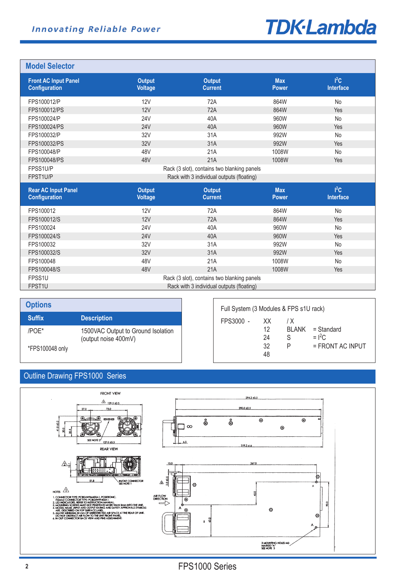# **TDK-Lambda**

## **Model Selector**

| <b>Front AC Input Panel</b><br><b>Configuration</b> | <b>Output</b><br><b>Voltage</b> | <b>Output</b><br><b>Current</b>             | <b>Max</b><br><b>Power</b> | $I^2C$<br>Interface        |  |
|-----------------------------------------------------|---------------------------------|---------------------------------------------|----------------------------|----------------------------|--|
| FPS100012/P                                         | <b>12V</b>                      | 72A                                         | 864W                       | No                         |  |
| FPS100012/PS                                        | 12V                             | 72A                                         | 864W                       | Yes                        |  |
| FPS100024/P                                         | <b>24V</b>                      | 40A                                         | 960W                       | <b>No</b>                  |  |
| FPS100024/PS                                        | <b>24V</b>                      | 40A                                         | 960W                       | <b>Yes</b>                 |  |
| FPS100032/P                                         | 32V                             | 31A                                         | 992W                       | No                         |  |
| FPS100032/PS                                        | 32V                             | 31A                                         | 992W                       | Yes                        |  |
| FPS100048/P                                         | 48V                             | 21A                                         | 1008W                      | No                         |  |
| FPS100048/PS                                        | 48V                             | 21A                                         | 1008W                      | Yes                        |  |
| FPSS1U/P                                            |                                 | Rack (3 slot), contains two blanking panels |                            |                            |  |
| FPST1U/P                                            |                                 | Rack with 3 individual outputs (floating)   |                            |                            |  |
| <b>Rear AC Input Panel</b><br>Configuration         | <b>Output</b><br><b>Voltage</b> | <b>Output</b><br><b>Current</b>             | <b>Max</b><br><b>Power</b> | $I^2C$<br><b>Interface</b> |  |
| FPS100012                                           | 12V                             | 72A                                         | 864W                       | No                         |  |
| FPS100012/S                                         | 12V                             | 72A                                         | 864W                       | Yes                        |  |
| FPS100024                                           | <b>24V</b>                      | 40A                                         | 960W                       | No                         |  |
| FPS100024/S                                         | <b>24V</b>                      | 40A                                         | 960W                       | <b>Yes</b>                 |  |
| FPS100032                                           | 32V                             | 31A                                         | 992W                       | No                         |  |
| FPS100032/S                                         | 32V                             | 31A                                         | 992W                       | <b>Yes</b>                 |  |
| FPS100048                                           | 48V                             | 21A                                         | 1008W                      | No                         |  |
| FPS100048/S                                         | 48V                             | 21A                                         | 1008W                      | Yes                        |  |
| FPSS <sub>1U</sub>                                  |                                 | Rack (3 slot), contains two blanking panels |                            |                            |  |
| FPST1U                                              |                                 |                                             |                            |                            |  |

 $\overline{1}$ 

| <b>Options</b>  |                                                            |
|-----------------|------------------------------------------------------------|
| <b>Suffix</b>   | <b>Description</b>                                         |
| /POE*           | 1500VAC Output to Ground Isolation<br>(output noise 400mV) |
| *FPS100048 only |                                                            |

| Full System (3 Modules & FPS s1U rack) |                             |          |                                                      |  |
|----------------------------------------|-----------------------------|----------|------------------------------------------------------|--|
| FPS3000 -                              | XX.<br>12<br>24<br>32<br>48 | 1 X<br>S | BLANK = Standard<br>$=$ $I^2C$<br>$=$ FRONT AC INPUT |  |

# Outline Drawing FPS1000 Series

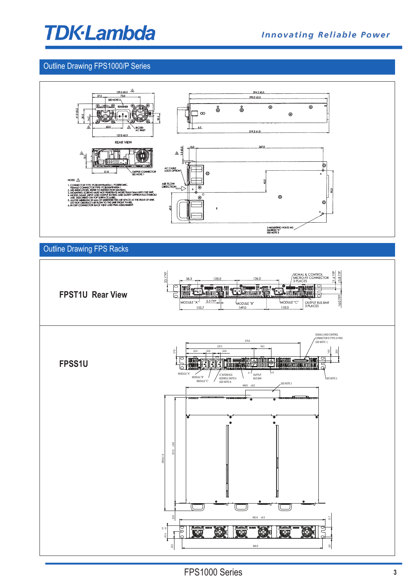# **TDK-Lambda**

# Outline Drawing FPS1000/P Series



# Outline Drawing FPS Racks